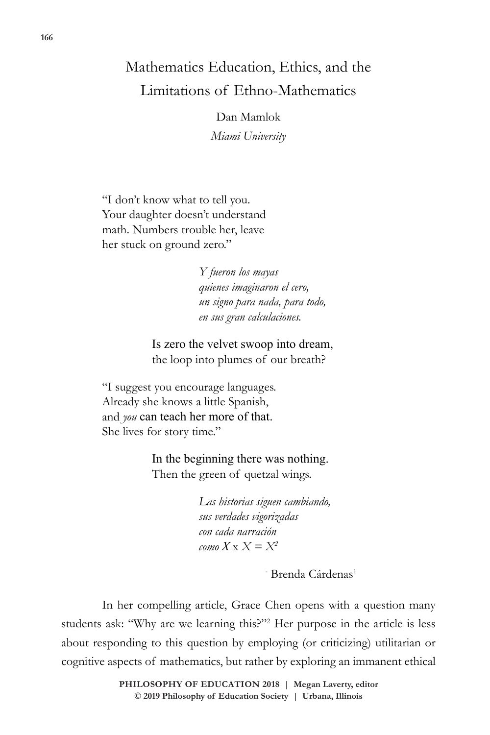## Mathematics Education, Ethics, and the Limitations of Ethno-Mathematics

Dan Mamlok *Miami University*

"I don't know what to tell you. Your daughter doesn't understand math. Numbers trouble her, leave her stuck on ground zero."

> *Y fueron los mayas quienes imaginaron el cero, un signo para nada, para todo, en sus gran calculaciones.*

 Is zero the velvet swoop into dream, the loop into plumes of our breath?

"I suggest you encourage languages. Already she knows a little Spanish, and *you* can teach her more of that. She lives for story time."

> In the beginning there was nothing. Then the green of quetzal wings.

> > *Las historias siguen cambiando, sus verdades vigorizadas con cada narración*  $\cos X \times X = X^2$

- <sup>-</sup> Brenda Cárdenas<sup>1</sup>

In her compelling article, Grace Chen opens with a question many students ask: "Why are we learning this?"2 Her purpose in the article is less about responding to this question by employing (or criticizing) utilitarian or cognitive aspects of mathematics, but rather by exploring an immanent ethical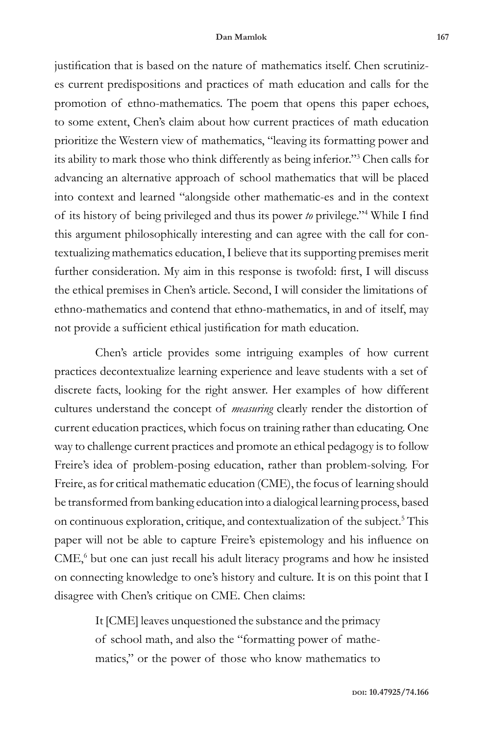justification that is based on the nature of mathematics itself. Chen scrutinizes current predispositions and practices of math education and calls for the promotion of ethno-mathematics. The poem that opens this paper echoes, to some extent, Chen's claim about how current practices of math education prioritize the Western view of mathematics, "leaving its formatting power and its ability to mark those who think differently as being inferior."3 Chen calls for advancing an alternative approach of school mathematics that will be placed into context and learned "alongside other mathematic-es and in the context of its history of being privileged and thus its power *to* privilege."4 While I find this argument philosophically interesting and can agree with the call for contextualizing mathematics education, I believe that its supporting premises merit further consideration. My aim in this response is twofold: first, I will discuss the ethical premises in Chen's article. Second, I will consider the limitations of ethno-mathematics and contend that ethno-mathematics, in and of itself, may not provide a sufficient ethical justification for math education.

Chen's article provides some intriguing examples of how current practices decontextualize learning experience and leave students with a set of discrete facts, looking for the right answer. Her examples of how different cultures understand the concept of *measuring* clearly render the distortion of current education practices, which focus on training rather than educating. One way to challenge current practices and promote an ethical pedagogy is to follow Freire's idea of problem-posing education, rather than problem-solving. For Freire, as for critical mathematic education (CME), the focus of learning should be transformed from banking education into a dialogical learning process, based on continuous exploration, critique, and contextualization of the subject.<sup>5</sup> This paper will not be able to capture Freire's epistemology and his influence on CME,<sup>6</sup> but one can just recall his adult literacy programs and how he insisted on connecting knowledge to one's history and culture. It is on this point that I disagree with Chen's critique on CME. Chen claims:

> It [CME] leaves unquestioned the substance and the primacy of school math, and also the "formatting power of mathematics," or the power of those who know mathematics to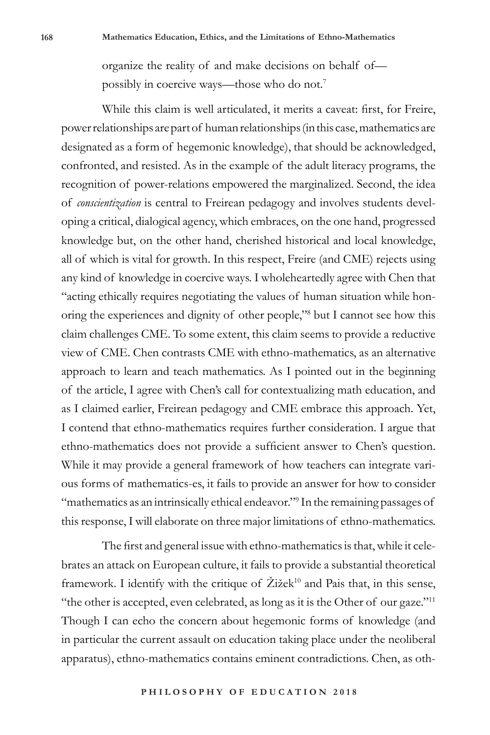organize the reality of and make decisions on behalf of possibly in coercive ways—those who do not.7

While this claim is well articulated, it merits a caveat: first, for Freire, power relationships are part of human relationships (in this case, mathematics are designated as a form of hegemonic knowledge), that should be acknowledged, confronted, and resisted. As in the example of the adult literacy programs, the recognition of power-relations empowered the marginalized. Second, the idea of *conscientization* is central to Freirean pedagogy and involves students developing a critical, dialogical agency, which embraces, on the one hand, progressed knowledge but, on the other hand, cherished historical and local knowledge, all of which is vital for growth. In this respect, Freire (and CME) rejects using any kind of knowledge in coercive ways. I wholeheartedly agree with Chen that "acting ethically requires negotiating the values of human situation while honoring the experiences and dignity of other people,"8 but I cannot see how this claim challenges CME. To some extent, this claim seems to provide a reductive view of CME. Chen contrasts CME with ethno-mathematics, as an alternative approach to learn and teach mathematics. As I pointed out in the beginning of the article, I agree with Chen's call for contextualizing math education, and as I claimed earlier, Freirean pedagogy and CME embrace this approach. Yet, I contend that ethno-mathematics requires further consideration. I argue that ethno-mathematics does not provide a sufficient answer to Chen's question. While it may provide a general framework of how teachers can integrate various forms of mathematics-es, it fails to provide an answer for how to consider "mathematics as an intrinsically ethical endeavor." In the remaining passages of this response, I will elaborate on three major limitations of ethno-mathematics.

The first and general issue with ethno-mathematics is that, while it celebrates an attack on European culture, it fails to provide a substantial theoretical framework. I identify with the critique of  $\check{Z}$ ižek<sup>10</sup> and Pais that, in this sense, "the other is accepted, even celebrated, as long as it is the Other of our gaze."11 Though I can echo the concern about hegemonic forms of knowledge (and in particular the current assault on education taking place under the neoliberal apparatus), ethno-mathematics contains eminent contradictions. Chen, as oth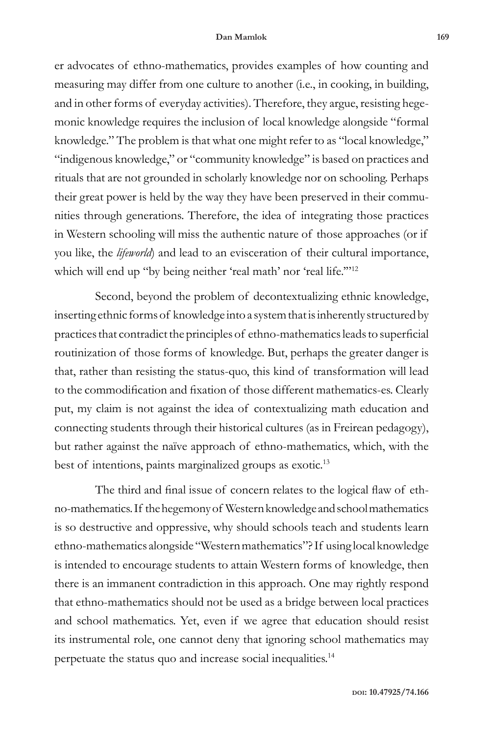er advocates of ethno-mathematics, provides examples of how counting and measuring may differ from one culture to another (i.e., in cooking, in building, and in other forms of everyday activities). Therefore, they argue, resisting hegemonic knowledge requires the inclusion of local knowledge alongside "formal knowledge." The problem is that what one might refer to as "local knowledge," "indigenous knowledge," or "community knowledge" is based on practices and rituals that are not grounded in scholarly knowledge nor on schooling. Perhaps their great power is held by the way they have been preserved in their communities through generations. Therefore, the idea of integrating those practices in Western schooling will miss the authentic nature of those approaches (or if you like, the *lifeworld*) and lead to an evisceration of their cultural importance, which will end up "by being neither 'real math' nor 'real life."<sup>12</sup>

Second, beyond the problem of decontextualizing ethnic knowledge, inserting ethnic forms of knowledge into a system that is inherently structured by practices that contradict the principles of ethno-mathematics leads to superficial routinization of those forms of knowledge. But, perhaps the greater danger is that, rather than resisting the status-quo, this kind of transformation will lead to the commodification and fixation of those different mathematics-es. Clearly put, my claim is not against the idea of contextualizing math education and connecting students through their historical cultures (as in Freirean pedagogy), but rather against the naïve approach of ethno-mathematics, which, with the best of intentions, paints marginalized groups as exotic.<sup>13</sup>

The third and final issue of concern relates to the logical flaw of ethno-mathematics. If the hegemony of Western knowledge and school mathematics is so destructive and oppressive, why should schools teach and students learn ethno-mathematics alongside "Western mathematics"? If using local knowledge is intended to encourage students to attain Western forms of knowledge, then there is an immanent contradiction in this approach. One may rightly respond that ethno-mathematics should not be used as a bridge between local practices and school mathematics. Yet, even if we agree that education should resist its instrumental role, one cannot deny that ignoring school mathematics may perpetuate the status quo and increase social inequalities.14